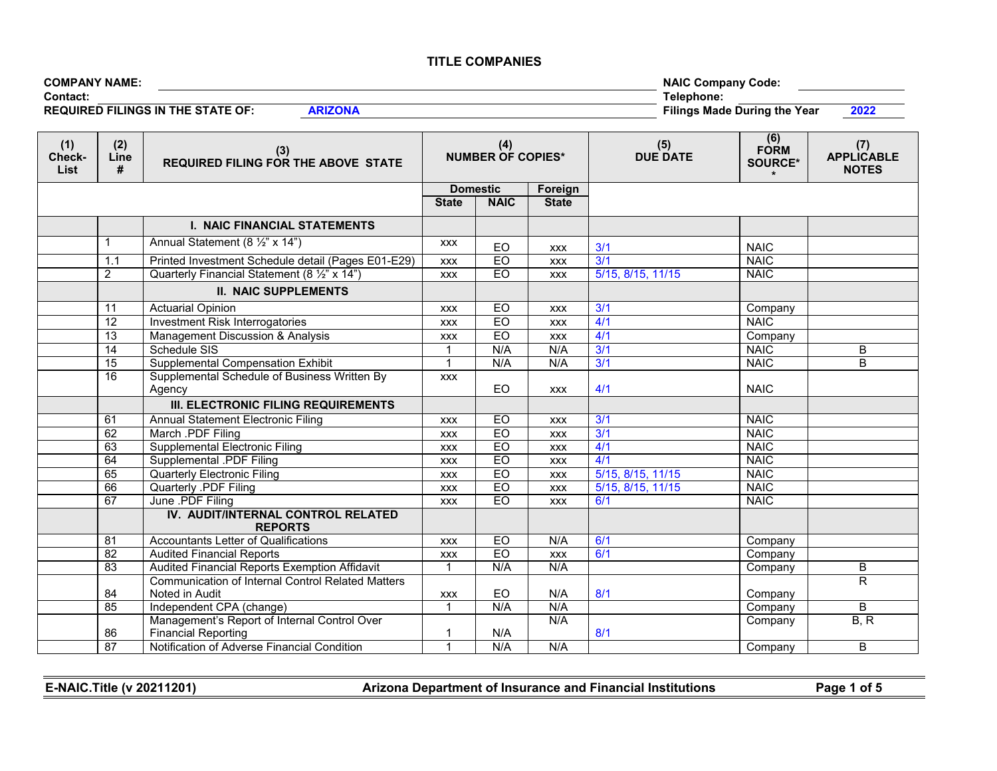| <b>COMPANY NAME:</b>                     |  |            | <b>NAIC Company Code:</b>           |      |
|------------------------------------------|--|------------|-------------------------------------|------|
| <b>Contact:</b>                          |  | Telephone. |                                     |      |
| <b>REQUIRED FILINGS IN THE STATE OF:</b> |  |            | <b>Filings Made During the Year</b> | 2022 |

| (1)<br>Check-<br>List | (2)<br>Line<br># | (3)<br>REQUIRED FILING FOR THE ABOVE STATE               | (4)<br><b>NUMBER OF COPIES*</b> |             |              | (5)<br><b>DUE DATE</b> | (6)<br><b>FORM</b><br>SOURCE* | (7)<br><b>APPLICABLE</b><br><b>NOTES</b> |
|-----------------------|------------------|----------------------------------------------------------|---------------------------------|-------------|--------------|------------------------|-------------------------------|------------------------------------------|
|                       |                  |                                                          | <b>Domestic</b>                 |             | Foreign      |                        |                               |                                          |
|                       |                  |                                                          | <b>State</b>                    | <b>NAIC</b> | <b>State</b> |                        |                               |                                          |
|                       |                  | <b>I. NAIC FINANCIAL STATEMENTS</b>                      |                                 |             |              |                        |                               |                                          |
|                       | $\mathbf{1}$     | Annual Statement (8 1/2" x 14")                          | <b>XXX</b>                      | EO          | <b>XXX</b>   | 3/1                    | <b>NAIC</b>                   |                                          |
|                       | 1.1              | Printed Investment Schedule detail (Pages E01-E29)       | <b>XXX</b>                      | EO          | <b>XXX</b>   | 3/1                    | <b>NAIC</b>                   |                                          |
|                       | $\overline{2}$   | Quarterly Financial Statement (8 1/2" x 14")             | <b>XXX</b>                      | EO          | <b>XXX</b>   | 5/15, 8/15, 11/15      | <b>NAIC</b>                   |                                          |
|                       |                  | <b>II. NAIC SUPPLEMENTS</b>                              |                                 |             |              |                        |                               |                                          |
|                       | 11               | <b>Actuarial Opinion</b>                                 | <b>XXX</b>                      | EO          | <b>XXX</b>   | 3/1                    | Company                       |                                          |
|                       | $\overline{12}$  | <b>Investment Risk Interrogatories</b>                   | <b>XXX</b>                      | EO          | <b>XXX</b>   | 4/1                    | <b>NAIC</b>                   |                                          |
|                       | 13               | Management Discussion & Analysis                         | <b>XXX</b>                      | EO          | <b>XXX</b>   | 4/1                    | Company                       |                                          |
|                       | 14               | Schedule SIS                                             |                                 | N/A         | N/A          | 3/1                    | <b>NAIC</b>                   | $\overline{B}$                           |
|                       | 15               | <b>Supplemental Compensation Exhibit</b>                 |                                 | N/A         | N/A          | 3/1                    | <b>NAIC</b>                   | B                                        |
|                       | 16               | Supplemental Schedule of Business Written By<br>Agency   | <b>XXX</b>                      | EO          | <b>XXX</b>   | 4/1                    | <b>NAIC</b>                   |                                          |
|                       |                  | <b>III. ELECTRONIC FILING REQUIREMENTS</b>               |                                 |             |              |                        |                               |                                          |
|                       | 61               | <b>Annual Statement Electronic Filing</b>                | <b>XXX</b>                      | EO          | <b>XXX</b>   | 3/1                    | <b>NAIC</b>                   |                                          |
|                       | 62               | March .PDF Filing                                        | <b>XXX</b>                      | EO          | <b>XXX</b>   | 3/1                    | <b>NAIC</b>                   |                                          |
|                       | 63               | <b>Supplemental Electronic Filing</b>                    | <b>XXX</b>                      | EO          | <b>XXX</b>   | 4/1                    | <b>NAIC</b>                   |                                          |
|                       | 64               | <b>Supplemental .PDF Filing</b>                          | <b>XXX</b>                      | EO          | <b>XXX</b>   | 4/1                    | <b>NAIC</b>                   |                                          |
|                       | 65               | <b>Quarterly Electronic Filing</b>                       | <b>XXX</b>                      | EO          | <b>XXX</b>   | 5/15, 8/15, 11/15      | <b>NAIC</b>                   |                                          |
|                       | 66               | Quarterly .PDF Filing                                    | <b>XXX</b>                      | EO          | <b>XXX</b>   | 5/15, 8/15, 11/15      | <b>NAIC</b>                   |                                          |
|                       | 67               | June .PDF Filing                                         | <b>XXX</b>                      | EO          | <b>XXX</b>   | 6/1                    | <b>NAIC</b>                   |                                          |
|                       |                  | IV. AUDIT/INTERNAL CONTROL RELATED<br><b>REPORTS</b>     |                                 |             |              |                        |                               |                                          |
|                       | 81               | <b>Accountants Letter of Qualifications</b>              | <b>XXX</b>                      | EO          | N/A          | 6/1                    | Company                       |                                          |
|                       | 82               | <b>Audited Financial Reports</b>                         | <b>XXX</b>                      | EO          | <b>XXX</b>   | 6/1                    | Company                       |                                          |
|                       | $\overline{83}$  | Audited Financial Reports Exemption Affidavit            | $\overline{1}$                  | N/A         | N/A          |                        | Company                       | B                                        |
|                       |                  | <b>Communication of Internal Control Related Matters</b> |                                 |             |              |                        |                               | $\overline{\mathsf{R}}$                  |
|                       | 84               | Noted in Audit                                           | <b>XXX</b>                      | EO          | N/A          | 8/1                    | Company                       |                                          |
|                       | 85               | Independent CPA (change)                                 | $\overline{1}$                  | N/A         | N/A          |                        | Company                       | B                                        |
|                       |                  | Management's Report of Internal Control Over             |                                 |             | N/A          |                        | Company                       | B, R                                     |
|                       | 86               | <b>Financial Reporting</b>                               |                                 | N/A         |              | 8/1                    |                               |                                          |
|                       | 87               | Notification of Adverse Financial Condition              |                                 | N/A         | N/A          |                        | Company                       | B                                        |

**E-NAIC.Title (v 20211201) Arizona Department of Insurance and Financial Institutions Page 1 of 5**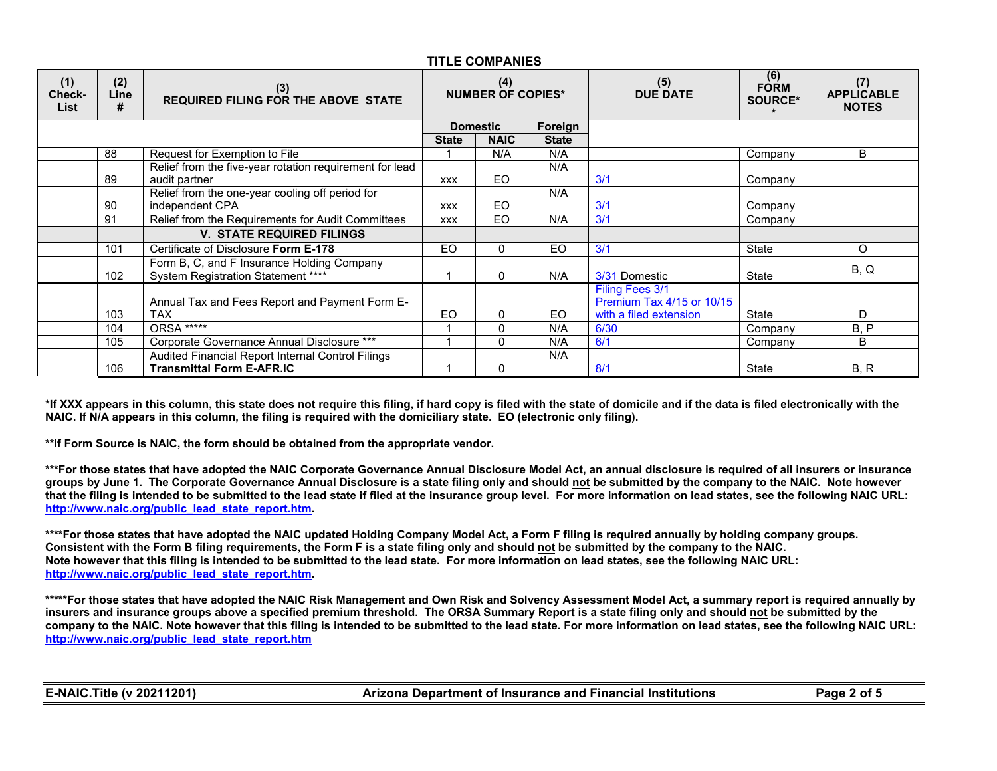| (1)<br>Check-<br><b>List</b> | (2)<br>Line<br># | (3)<br><b>REQUIRED FILING FOR THE ABOVE STATE</b>                                | (4)<br><b>NUMBER OF COPIES*</b> |                 |              | (5)<br><b>DUE DATE</b>                       | (6)<br><b>FORM</b><br><b>SOURCE*</b> | (7)<br><b>APPLICABLE</b><br><b>NOTES</b> |
|------------------------------|------------------|----------------------------------------------------------------------------------|---------------------------------|-----------------|--------------|----------------------------------------------|--------------------------------------|------------------------------------------|
|                              |                  |                                                                                  |                                 | <b>Domestic</b> | Foreign      |                                              |                                      |                                          |
|                              |                  |                                                                                  | <b>State</b>                    | <b>NAIC</b>     | <b>State</b> |                                              |                                      |                                          |
|                              | 88               | Request for Exemption to File                                                    |                                 | N/A             | N/A          |                                              | Company                              | B                                        |
|                              | 89               | Relief from the five-year rotation requirement for lead<br>audit partner         | <b>XXX</b>                      | EO              | N/A          | 3/1                                          | Company                              |                                          |
|                              | 90               | Relief from the one-year cooling off period for<br>independent CPA               | <b>XXX</b>                      | EO              | N/A          | 3/1                                          | Company                              |                                          |
|                              | 91               | Relief from the Requirements for Audit Committees                                | <b>XXX</b>                      | EO.             | N/A          | 3/1                                          | Company                              |                                          |
|                              |                  | <b>V. STATE REQUIRED FILINGS</b>                                                 |                                 |                 |              |                                              |                                      |                                          |
|                              | 101              | Certificate of Disclosure Form E-178                                             | EO                              | $\Omega$        | EO           | 3/1                                          | <b>State</b>                         | O                                        |
|                              | 102              | Form B, C, and F Insurance Holding Company<br>System Registration Statement **** |                                 | $\Omega$        | N/A          | 3/31 Domestic                                | State                                | B, Q                                     |
|                              |                  | Annual Tax and Fees Report and Payment Form E-                                   |                                 |                 |              | Filing Fees 3/1<br>Premium Tax 4/15 or 10/15 |                                      |                                          |
|                              | 103              | <b>TAX</b>                                                                       | EO                              | $\Omega$        | EO.          | with a filed extension                       | State                                | D                                        |
|                              | 104              | ORSA <sup>*****</sup>                                                            |                                 | 0               | N/A          | 6/30                                         | Company                              | B, P                                     |
|                              | 105              | Corporate Governance Annual Disclosure ***                                       |                                 | 0               | N/A          | 6/1                                          | Company                              | B                                        |
|                              |                  | Audited Financial Report Internal Control Filings                                |                                 |                 | N/A          |                                              |                                      |                                          |
|                              | 106              | <b>Transmittal Form E-AFR.IC</b>                                                 |                                 | 0               |              | 8/1                                          | State                                | B, R                                     |

**\*If XXX appears in this column, this state does not require this filing, if hard copy is filed with the state of domicile and if the data is filed electronically with the NAIC. If N/A appears in this column, the filing is required with the domiciliary state. EO (electronic only filing).**

**\*\*If Form Source is NAIC, the form should be obtained from the appropriate vendor.**

**\*\*\*For those states that have adopted the NAIC Corporate Governance Annual Disclosure Model Act, an annual disclosure is required of all insurers or insurance groups by June 1. The Corporate Governance Annual Disclosure is a state filing only and should not be submitted by the company to the NAIC. Note however that the filing is intended to be submitted to the lead state if filed at the insurance group level. For more information on lead states, see the following NAIC URL: [http://www.naic.org/public\\_lead\\_state\\_report.htm.](http://www.naic.org/public_lead_state_report.htm)**

**\*\*\*\*For those states that have adopted the NAIC updated Holding Company Model Act, a Form F filing is required annually by holding company groups. Consistent with the Form B filing requirements, the Form F is a state filing only and should not be submitted by the company to the NAIC. Note however that this filing is intended to be submitted to the lead state. For more information on lead states, see the following NAIC URL: [http://www.naic.org/public\\_lead\\_state\\_report.htm.](http://www.naic.org/public_lead_state_report.htm)**

**\*\*\*\*\*For those states that have adopted the NAIC Risk Management and Own Risk and Solvency Assessment Model Act, a summary report is required annually by insurers and insurance groups above a specified premium threshold. The ORSA Summary Report is a state filing only and should not be submitted by the company to the NAIC. Note however that this filing is intended to be submitted to the lead state. For more information on lead states, see the following NAIC URL: [http://www.naic.org/public\\_lead\\_state\\_report.htm](http://www.naic.org/public_lead_state_report.htm)**

| <b>E-NAIC. Title (v 20211201)</b> | Arizona Department of Insurance and Financial Institutions | Page<br>2 of 5 |
|-----------------------------------|------------------------------------------------------------|----------------|
|-----------------------------------|------------------------------------------------------------|----------------|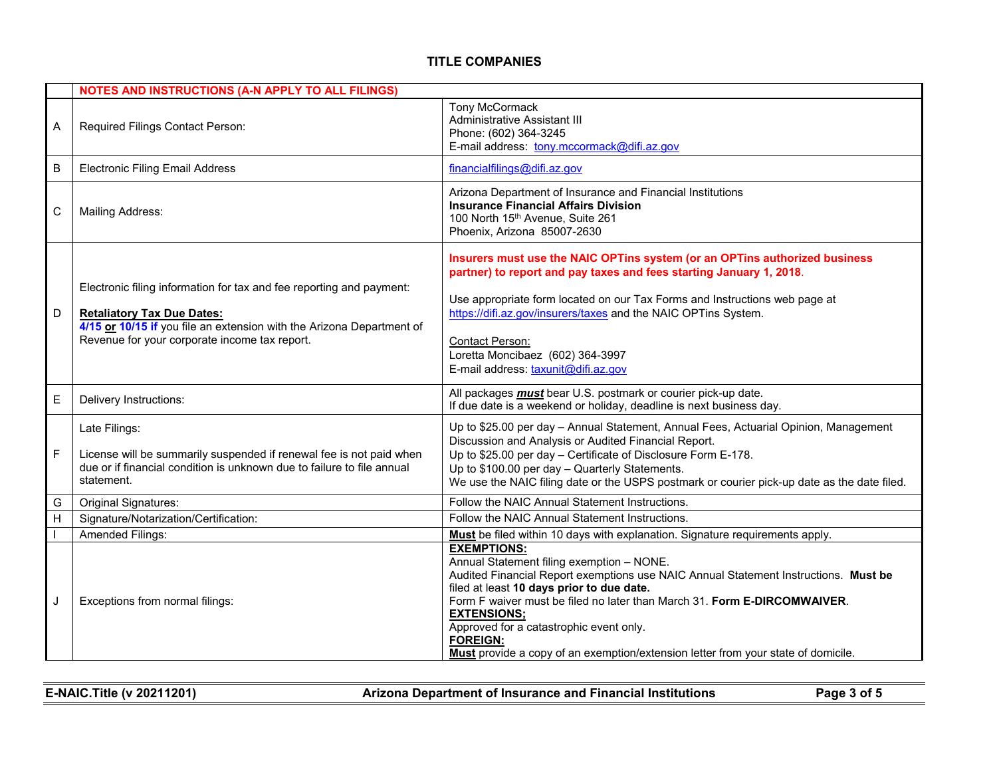|         | <b>NOTES AND INSTRUCTIONS (A-N APPLY TO ALL FILINGS)</b>                                                                                                                                                                            |                                                                                                                                                                                                                                                                                                                                                                                                                                                          |  |  |
|---------|-------------------------------------------------------------------------------------------------------------------------------------------------------------------------------------------------------------------------------------|----------------------------------------------------------------------------------------------------------------------------------------------------------------------------------------------------------------------------------------------------------------------------------------------------------------------------------------------------------------------------------------------------------------------------------------------------------|--|--|
| A       | Required Filings Contact Person:                                                                                                                                                                                                    | <b>Tony McCormack</b><br><b>Administrative Assistant III</b><br>Phone: (602) 364-3245<br>E-mail address: tony.mccormack@difi.az.gov                                                                                                                                                                                                                                                                                                                      |  |  |
| $\sf B$ | <b>Electronic Filing Email Address</b>                                                                                                                                                                                              | financialfilings@difi.az.gov                                                                                                                                                                                                                                                                                                                                                                                                                             |  |  |
| C       | <b>Mailing Address:</b>                                                                                                                                                                                                             | Arizona Department of Insurance and Financial Institutions<br><b>Insurance Financial Affairs Division</b><br>100 North 15 <sup>th</sup> Avenue, Suite 261<br>Phoenix, Arizona 85007-2630                                                                                                                                                                                                                                                                 |  |  |
| D       | Electronic filing information for tax and fee reporting and payment:<br><b>Retaliatory Tax Due Dates:</b><br>4/15 or 10/15 if you file an extension with the Arizona Department of<br>Revenue for your corporate income tax report. | Insurers must use the NAIC OPTins system (or an OPTins authorized business<br>partner) to report and pay taxes and fees starting January 1, 2018.<br>Use appropriate form located on our Tax Forms and Instructions web page at<br>https://difi.az.gov/insurers/taxes and the NAIC OPTins System.<br><b>Contact Person:</b><br>Loretta Moncibaez (602) 364-3997<br>E-mail address: taxunit@difi.az.gov                                                   |  |  |
| E       | Delivery Instructions:                                                                                                                                                                                                              | All packages <b>must</b> bear U.S. postmark or courier pick-up date.<br>If due date is a weekend or holiday, deadline is next business day.                                                                                                                                                                                                                                                                                                              |  |  |
| F       | Late Filings:<br>License will be summarily suspended if renewal fee is not paid when<br>due or if financial condition is unknown due to failure to file annual<br>statement.                                                        | Up to \$25.00 per day - Annual Statement, Annual Fees, Actuarial Opinion, Management<br>Discussion and Analysis or Audited Financial Report.<br>Up to \$25.00 per day - Certificate of Disclosure Form E-178.<br>Up to \$100.00 per day - Quarterly Statements.<br>We use the NAIC filing date or the USPS postmark or courier pick-up date as the date filed.                                                                                           |  |  |
| G       | Original Signatures:                                                                                                                                                                                                                | Follow the NAIC Annual Statement Instructions.                                                                                                                                                                                                                                                                                                                                                                                                           |  |  |
| H       | Signature/Notarization/Certification:                                                                                                                                                                                               | Follow the NAIC Annual Statement Instructions.                                                                                                                                                                                                                                                                                                                                                                                                           |  |  |
|         | <b>Amended Filings:</b>                                                                                                                                                                                                             | Must be filed within 10 days with explanation. Signature requirements apply.                                                                                                                                                                                                                                                                                                                                                                             |  |  |
| J       | Exceptions from normal filings:                                                                                                                                                                                                     | <b>EXEMPTIONS:</b><br>Annual Statement filing exemption - NONE.<br>Audited Financial Report exemptions use NAIC Annual Statement Instructions. Must be<br>filed at least 10 days prior to due date.<br>Form F waiver must be filed no later than March 31. Form E-DIRCOMWAIVER.<br><b>EXTENSIONS;</b><br>Approved for a catastrophic event only.<br><b>FOREIGN:</b><br>Must provide a copy of an exemption/extension letter from your state of domicile. |  |  |

| <b>E-NAIC. Title (v 20211201)</b> | <b>Arizona Department of Insurance and Financial Institutions</b> | Page 3 of 5 |
|-----------------------------------|-------------------------------------------------------------------|-------------|
|                                   |                                                                   |             |

 $\equiv$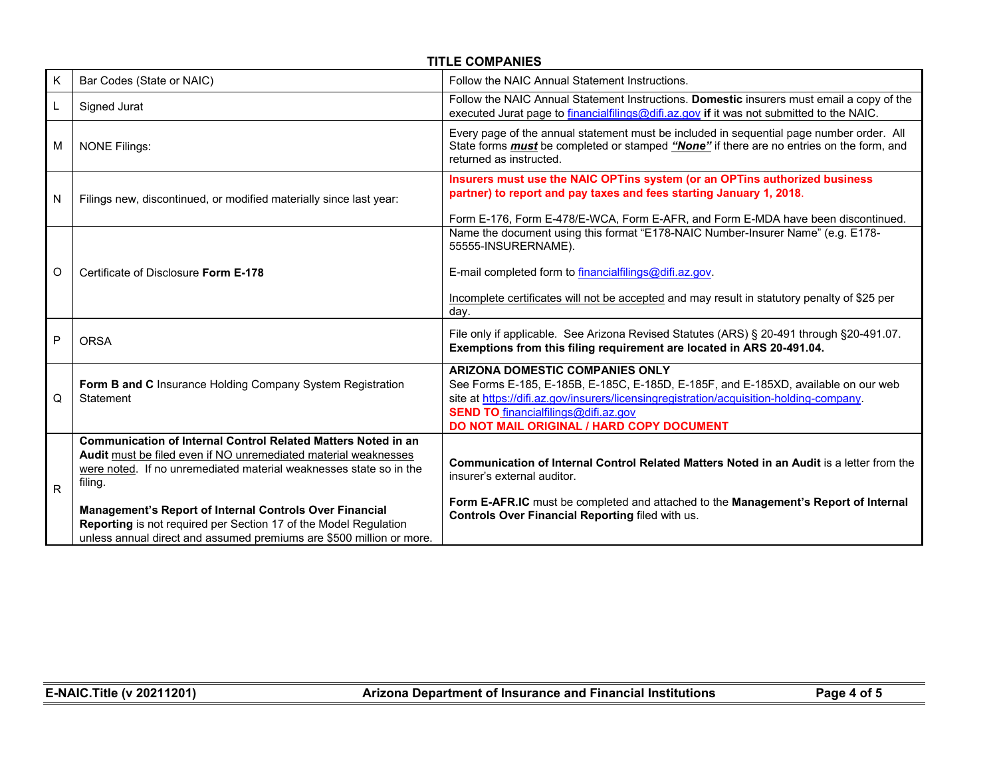|   | <b>TITLE COMPANIES</b>                                                                                                                                                                                            |                                                                                                                                                                                                                                                                                                                     |  |  |  |
|---|-------------------------------------------------------------------------------------------------------------------------------------------------------------------------------------------------------------------|---------------------------------------------------------------------------------------------------------------------------------------------------------------------------------------------------------------------------------------------------------------------------------------------------------------------|--|--|--|
| Κ | Bar Codes (State or NAIC)                                                                                                                                                                                         | Follow the NAIC Annual Statement Instructions.                                                                                                                                                                                                                                                                      |  |  |  |
| L | Signed Jurat                                                                                                                                                                                                      | Follow the NAIC Annual Statement Instructions. Domestic insurers must email a copy of the<br>executed Jurat page to financialfilings@difi.az.gov if it was not submitted to the NAIC.                                                                                                                               |  |  |  |
| M | <b>NONE Filings:</b>                                                                                                                                                                                              | Every page of the annual statement must be included in sequential page number order. All<br>State forms <b>must</b> be completed or stamped "None" if there are no entries on the form, and<br>returned as instructed.                                                                                              |  |  |  |
| N | Filings new, discontinued, or modified materially since last year:                                                                                                                                                | Insurers must use the NAIC OPTins system (or an OPTins authorized business<br>partner) to report and pay taxes and fees starting January 1, 2018.<br>Form E-176, Form E-478/E-WCA, Form E-AFR, and Form E-MDA have been discontinued.                                                                               |  |  |  |
| O | Certificate of Disclosure Form E-178                                                                                                                                                                              | Name the document using this format "E178-NAIC Number-Insurer Name" (e.g. E178-<br>55555-INSURERNAME).<br>E-mail completed form to financialfilings@difi.az.gov.<br>Incomplete certificates will not be accepted and may result in statutory penalty of \$25 per<br>day.                                            |  |  |  |
| P | <b>ORSA</b>                                                                                                                                                                                                       | File only if applicable. See Arizona Revised Statutes (ARS) § 20-491 through § 20-491.07.<br>Exemptions from this filing requirement are located in ARS 20-491.04.                                                                                                                                                  |  |  |  |
| Q | Form B and C Insurance Holding Company System Registration<br>Statement                                                                                                                                           | <b>ARIZONA DOMESTIC COMPANIES ONLY</b><br>See Forms E-185, E-185B, E-185C, E-185D, E-185F, and E-185XD, available on our web<br>site at https://difi.az.gov/insurers/licensingregistration/acquisition-holding-company.<br><b>SEND TO</b> financialfilings@difi.az.gov<br>DO NOT MAIL ORIGINAL / HARD COPY DOCUMENT |  |  |  |
| R | Communication of Internal Control Related Matters Noted in an<br>Audit must be filed even if NO unremediated material weaknesses<br>were noted. If no unremediated material weaknesses state so in the<br>filing. | Communication of Internal Control Related Matters Noted in an Audit is a letter from the<br>insurer's external auditor.                                                                                                                                                                                             |  |  |  |
|   | Management's Report of Internal Controls Over Financial<br>Reporting is not required per Section 17 of the Model Regulation<br>unless annual direct and assumed premiums are \$500 million or more.               | Form E-AFR.IC must be completed and attached to the Management's Report of Internal<br>Controls Over Financial Reporting filed with us.                                                                                                                                                                             |  |  |  |